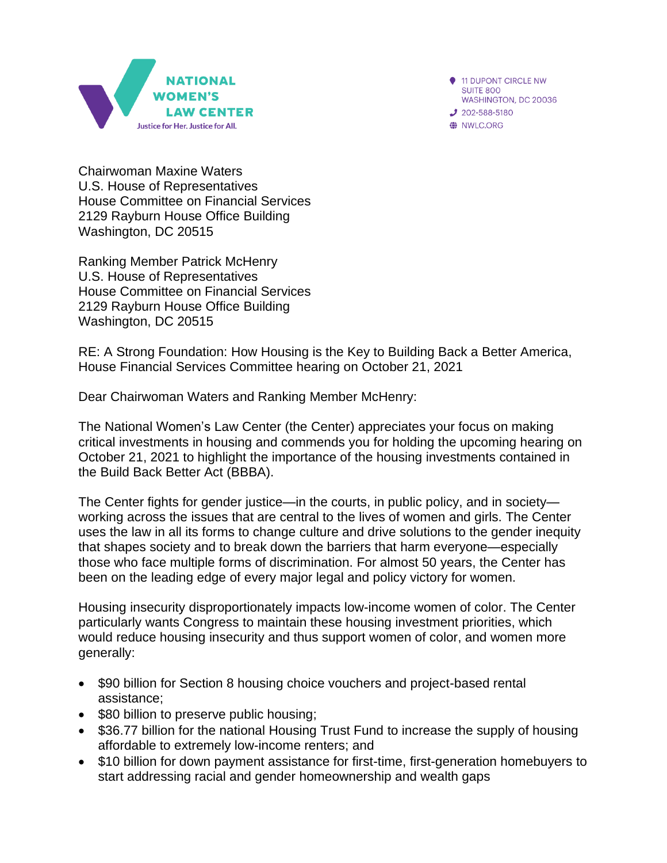



Chairwoman Maxine Waters U.S. House of Representatives House Committee on Financial Services 2129 Rayburn House Office Building Washington, DC 20515

Ranking Member Patrick McHenry U.S. House of Representatives House Committee on Financial Services 2129 Rayburn House Office Building Washington, DC 20515

RE: A Strong Foundation: How Housing is the Key to Building Back a Better America, House Financial Services Committee hearing on October 21, 2021

Dear Chairwoman Waters and Ranking Member McHenry:

The National Women's Law Center (the Center) appreciates your focus on making critical investments in housing and commends you for holding the upcoming hearing on October 21, 2021 to highlight the importance of the housing investments contained in the Build Back Better Act (BBBA).

The Center fights for gender justice—in the courts, in public policy, and in society working across the issues that are central to the lives of women and girls. The Center uses the law in all its forms to change culture and drive solutions to the gender inequity that shapes society and to break down the barriers that harm everyone—especially those who face multiple forms of discrimination. For almost 50 years, the Center has been on the leading edge of every major legal and policy victory for women.

Housing insecurity disproportionately impacts low-income women of color. The Center particularly wants Congress to maintain these housing investment priorities, which would reduce housing insecurity and thus support women of color, and women more generally:

- \$90 billion for Section 8 housing choice vouchers and project-based rental assistance;
- \$80 billion to preserve public housing;
- \$36.77 billion for the national Housing Trust Fund to increase the supply of housing affordable to extremely low-income renters; and
- \$10 billion for down payment assistance for first-time, first-generation homebuyers to start addressing racial and gender homeownership and wealth gaps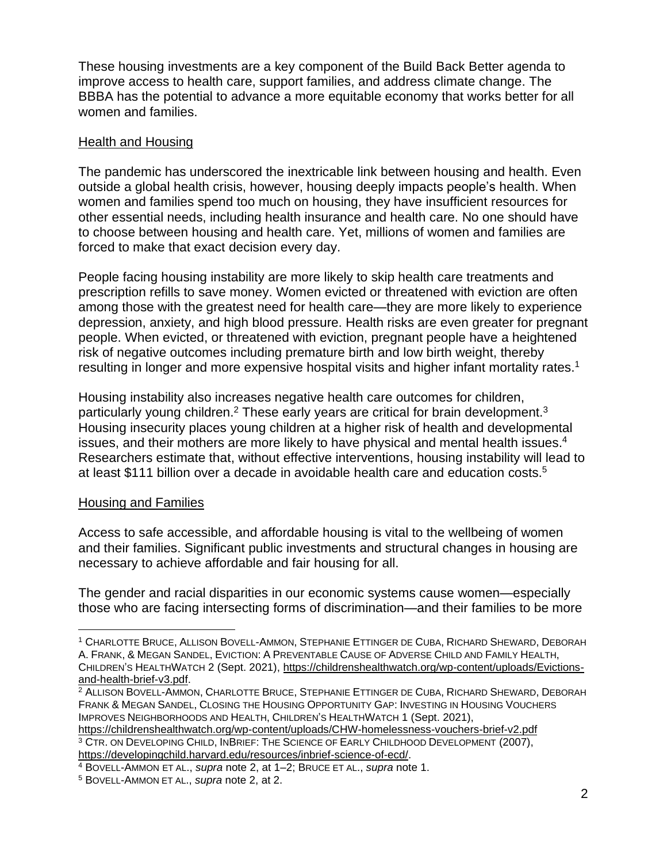These housing investments are a key component of the Build Back Better agenda to improve access to health care, support families, and address climate change. The BBBA has the potential to advance a more equitable economy that works better for all women and families.

## Health and Housing

The pandemic has underscored the inextricable link between housing and health. Even outside a global health crisis, however, housing deeply impacts people's health. When women and families spend too much on housing, they have insufficient resources for other essential needs, including health insurance and health care. No one should have to choose between housing and health care. Yet, millions of women and families are forced to make that exact decision every day.

People facing housing instability are more likely to skip health care treatments and prescription refills to save money. Women evicted or threatened with eviction are often among those with the greatest need for health care—they are more likely to experience depression, anxiety, and high blood pressure. Health risks are even greater for pregnant people. When evicted, or threatened with eviction, pregnant people have a heightened risk of negative outcomes including premature birth and low birth weight, thereby resulting in longer and more expensive hospital visits and higher infant mortality rates.<sup>1</sup>

Housing instability also increases negative health care outcomes for children, particularly young children.<sup>2</sup> These early years are critical for brain development.<sup>3</sup> Housing insecurity places young children at a higher risk of health and developmental issues, and their mothers are more likely to have physical and mental health issues.<sup>4</sup> Researchers estimate that, without effective interventions, housing instability will lead to at least \$111 billion over a decade in avoidable health care and education costs.<sup>5</sup>

## Housing and Families

Access to safe accessible, and affordable housing is vital to the wellbeing of women and their families. Significant public investments and structural changes in housing are necessary to achieve affordable and fair housing for all.

The gender and racial disparities in our economic systems cause women—especially those who are facing intersecting forms of discrimination—and their families to be more

<sup>3</sup> CTR. ON DEVELOPING CHILD, INBRIEF: THE SCIENCE OF EARLY CHILDHOOD DEVELOPMENT (2007), [https://developingchild.harvard.edu/resources/inbrief-science-of-ecd/.](https://developingchild.harvard.edu/resources/inbrief-science-of-ecd/)

<sup>1</sup> CHARLOTTE BRUCE, ALLISON BOVELL-AMMON, STEPHANIE ETTINGER DE CUBA, RICHARD SHEWARD, DEBORAH A. FRANK, & MEGAN SANDEL, EVICTION: A PREVENTABLE CAUSE OF ADVERSE CHILD AND FAMILY HEALTH, CHILDREN'S HEALTHWATCH 2 (Sept. 2021), [https://childrenshealthwatch.org/wp-content/uploads/Evictions](https://childrenshealthwatch.org/wp-content/uploads/Evictions-and-health-brief-v3.pdf)[and-health-brief-v3.pdf.](https://childrenshealthwatch.org/wp-content/uploads/Evictions-and-health-brief-v3.pdf)

<sup>2</sup> ALLISON BOVELL-AMMON, CHARLOTTE BRUCE, STEPHANIE ETTINGER DE CUBA, RICHARD SHEWARD, DEBORAH FRANK & MEGAN SANDEL, CLOSING THE HOUSING OPPORTUNITY GAP: INVESTING IN HOUSING VOUCHERS IMPROVES NEIGHBORHOODS AND HEALTH, CHILDREN'S HEALTHWATCH 1 (Sept. 2021), <https://childrenshealthwatch.org/wp-content/uploads/CHW-homelessness-vouchers-brief-v2.pdf>

<sup>4</sup> BOVELL-AMMON ET AL., *supra* note 2, at 1–2; BRUCE ET AL., *supra* note 1.

<sup>5</sup> BOVELL-AMMON ET AL., *supra* note 2, at 2.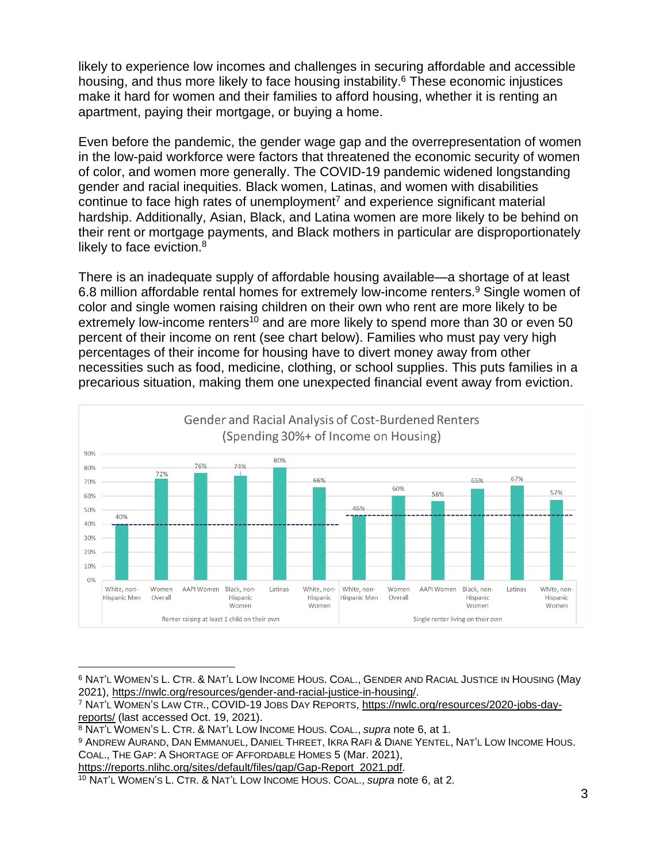likely to experience low incomes and challenges in securing affordable and accessible housing, and thus more likely to face housing instability.<sup>6</sup> These economic injustices make it hard for women and their families to afford housing, whether it is renting an apartment, paying their mortgage, or buying a home.

Even before the pandemic, the gender wage gap and the overrepresentation of women in the low-paid workforce were factors that threatened the economic security of women of color, and women more generally. The COVID-19 pandemic widened longstanding gender and racial inequities. Black women, Latinas, and women with disabilities continue to face high rates of unemployment<sup>7</sup> and experience significant material hardship. Additionally, Asian, Black, and Latina women are more likely to be behind on their rent or mortgage payments, and Black mothers in particular are disproportionately likely to face eviction.<sup>8</sup>

There is an inadequate supply of affordable housing available—a shortage of at least 6.8 million affordable rental homes for extremely low-income renters.<sup>9</sup> Single women of color and single women raising children on their own who rent are more likely to be extremely low-income renters<sup>10</sup> and are more likely to spend more than 30 or even 50 percent of their income on rent (see chart below). Families who must pay very high percentages of their income for housing have to divert money away from other necessities such as food, medicine, clothing, or school supplies. This puts families in a precarious situation, making them one unexpected financial event away from eviction.



<sup>6</sup> NAT'L WOMEN'S L. CTR. & NAT'L LOW INCOME HOUS. COAL., GENDER AND RACIAL JUSTICE IN HOUSING (May 2021), [https://nwlc.org/resources/gender-and-racial-justice-in-housing/.](https://nwlc.org/resources/gender-and-racial-justice-in-housing/)

[https://reports.nlihc.org/sites/default/files/gap/Gap-Report\\_2021.pdf.](https://reports.nlihc.org/sites/default/files/gap/Gap-Report_2021.pdf)

<sup>7</sup> NAT'L WOMEN'S LAW CTR., COVID-19 JOBS DAY REPORTS, [https://nwlc.org/resources/2020-jobs-day](https://nwlc.org/resources/2020-jobs-day-reports/)[reports/](https://nwlc.org/resources/2020-jobs-day-reports/) (last accessed Oct. 19, 2021).

<sup>8</sup> NAT'L WOMEN'S L. CTR. & NAT'L LOW INCOME HOUS. COAL., *supra* note 6, at 1.

<sup>9</sup> ANDREW AURAND, DAN EMMANUEL, DANIEL THREET, IKRA RAFI & DIANE YENTEL, NAT'L LOW INCOME HOUS. COAL., THE GAP: A SHORTAGE OF AFFORDABLE HOMES 5 (Mar. 2021),

<sup>10</sup> NAT'L WOMEN'S L. CTR. & NAT'L LOW INCOME HOUS. COAL., *supra* note 6, at 2.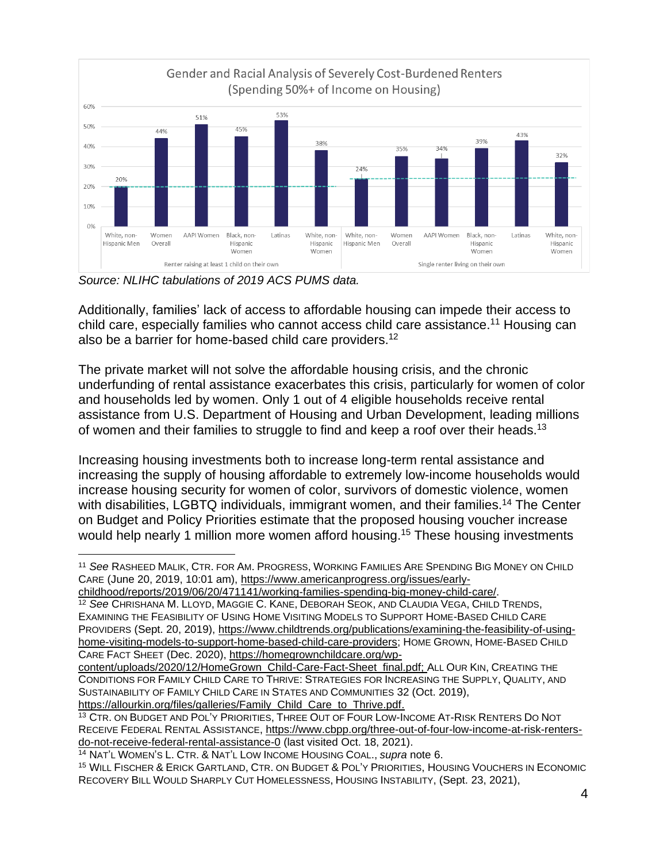

*Source: NLIHC tabulations of 2019 ACS PUMS data.*

Additionally, families' lack of access to affordable housing can impede their access to child care, especially families who cannot access child care assistance.<sup>11</sup> Housing can also be a barrier for home-based child care providers.<sup>12</sup>

The private market will not solve the affordable housing crisis, and the chronic underfunding of rental assistance exacerbates this crisis, particularly for women of color and households led by women. Only 1 out of 4 eligible households receive rental assistance from U.S. Department of Housing and Urban Development, leading millions of women and their families to struggle to find and keep a roof over their heads.<sup>13</sup>

Increasing housing investments both to increase long-term rental assistance and increasing the supply of housing affordable to extremely low-income households would increase housing security for women of color, survivors of domestic violence, women with disabilities, LGBTQ individuals, immigrant women, and their families.<sup>14</sup> The Center on Budget and Policy Priorities estimate that the proposed housing voucher increase would help nearly 1 million more women afford housing.<sup>15</sup> These housing investments

<sup>11</sup> *See* RASHEED MALIK, CTR. FOR AM. PROGRESS, WORKING FAMILIES ARE SPENDING BIG MONEY ON CHILD CARE (June 20, 2019, 10:01 am), [https://www.americanprogress.org/issues/early-](https://www.americanprogress.org/issues/early-childhood/reports/2019/06/20/471141/working-families-spending-big-money-child-care/)

[childhood/reports/2019/06/20/471141/working-families-spending-big-money-child-care/.](https://www.americanprogress.org/issues/early-childhood/reports/2019/06/20/471141/working-families-spending-big-money-child-care/)

<sup>12</sup> *See* CHRISHANA M. LLOYD, MAGGIE C. KANE, DEBORAH SEOK, AND CLAUDIA VEGA, CHILD TRENDS, EXAMINING THE FEASIBILITY OF USING HOME VISITING MODELS TO SUPPORT HOME-BASED CHILD CARE PROVIDERS (Sept. 20, 2019), [https://www.childtrends.org/publications/examining-the-feasibility-of-using](https://www.childtrends.org/publications/examining-the-feasibility-of-using-home-visiting-models-to-support-home-based-child-care-providers)[home-visiting-models-to-support-home-based-child-care-providers;](https://www.childtrends.org/publications/examining-the-feasibility-of-using-home-visiting-models-to-support-home-based-child-care-providers) HOME GROWN, HOME-BASED CHILD CARE FACT SHEET (Dec. 2020), [https://homegrownchildcare.org/wp-](https://homegrownchildcare.org/wp-content/uploads/2020/12/HomeGrown_Child-Care-Fact-Sheet_final.pdf)

[content/uploads/2020/12/HomeGrown\\_Child-Care-Fact-Sheet\\_final.pdf;](https://homegrownchildcare.org/wp-content/uploads/2020/12/HomeGrown_Child-Care-Fact-Sheet_final.pdf) ALL OUR KIN, CREATING THE CONDITIONS FOR FAMILY CHILD CARE TO THRIVE: STRATEGIES FOR INCREASING THE SUPPLY, QUALITY, AND SUSTAINABILITY OF FAMILY CHILD CARE IN STATES AND COMMUNITIES 32 (Oct. 2019), [https://allourkin.org/files/galleries/Family\\_Child\\_Care\\_to\\_Thrive.pdf.](https://allourkin.org/files/galleries/Family_Child_Care_to_Thrive.pdf)

<sup>13</sup> CTR. ON BUDGET AND POL'Y PRIORITIES, THREE OUT OF FOUR LOW-INCOME AT-RISK RENTERS DO NOT RECEIVE FEDERAL RENTAL ASSISTANCE, [https://www.cbpp.org/three-out-of-four-low-income-at-risk-renters](https://www.cbpp.org/three-out-of-four-low-income-at-risk-renters-do-not-receive-federal-rental-assistance-0)[do-not-receive-federal-rental-assistance-0](https://www.cbpp.org/three-out-of-four-low-income-at-risk-renters-do-not-receive-federal-rental-assistance-0) (last visited Oct. 18, 2021).

<sup>14</sup> NAT'L WOMEN'S L. CTR. & NAT'L LOW INCOME HOUSING COAL., *supra* note 6.

<sup>15</sup> WILL FISCHER & ERICK GARTLAND, CTR. ON BUDGET & POL'Y PRIORITIES, HOUSING VOUCHERS IN ECONOMIC RECOVERY BILL WOULD SHARPLY CUT HOMELESSNESS, HOUSING INSTABILITY, (Sept. 23, 2021),